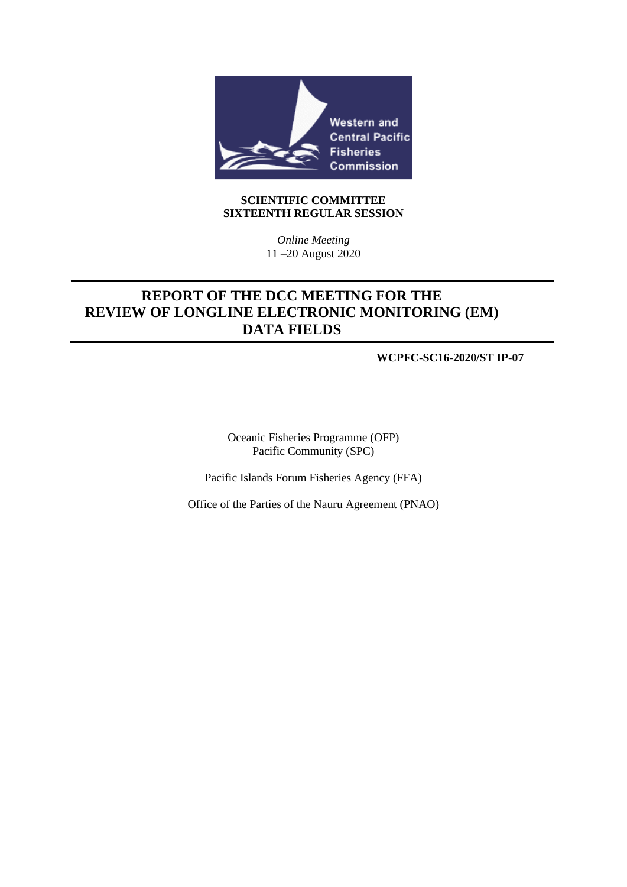

#### **SCIENTIFIC COMMITTEE SIXTEENTH REGULAR SESSION**

*Online Meeting* 11 –20 August 2020

## **REPORT OF THE DCC MEETING FOR THE REVIEW OF LONGLINE ELECTRONIC MONITORING (EM) DATA FIELDS**

**WCPFC-SC16-2020/ST IP-07**

Oceanic Fisheries Programme (OFP) Pacific Community (SPC)

Pacific Islands Forum Fisheries Agency (FFA)

Office of the Parties of the Nauru Agreement (PNAO)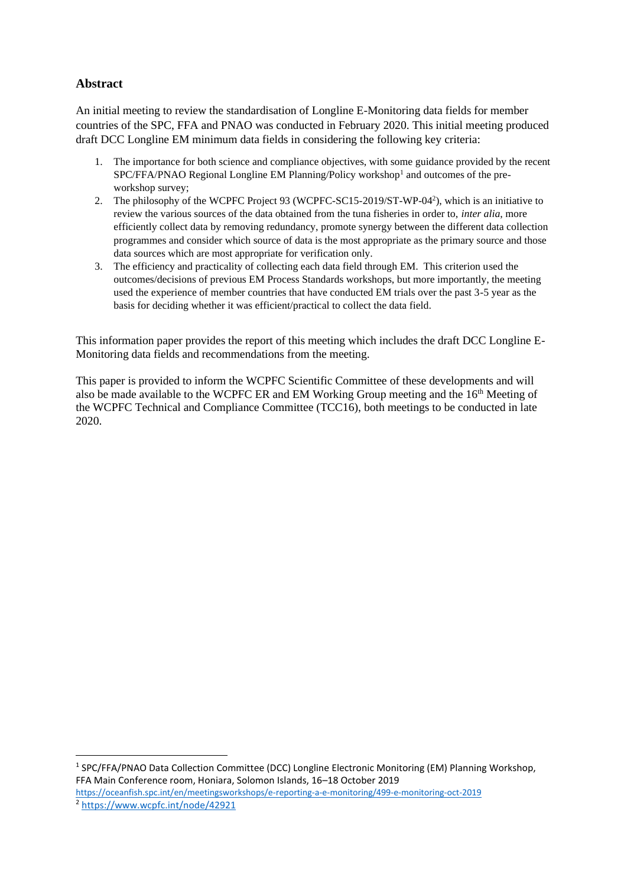## **Abstract**

An initial meeting to review the standardisation of Longline E-Monitoring data fields for member countries of the SPC, FFA and PNAO was conducted in February 2020. This initial meeting produced draft DCC Longline EM minimum data fields in considering the following key criteria:

- 1. The importance for both science and compliance objectives, with some guidance provided by the recent SPC/FFA/PNAO Regional Longline EM Planning/Policy workshop<sup>1</sup> and outcomes of the preworkshop survey;
- 2. The philosophy of the WCPFC Project 93 (WCPFC-SC15-2019/ST-WP-04<sup>2</sup>), which is an initiative to review the various sources of the data obtained from the tuna fisheries in order to, *inter alia*, more efficiently collect data by removing redundancy, promote synergy between the different data collection programmes and consider which source of data is the most appropriate as the primary source and those data sources which are most appropriate for verification only.
- 3. The efficiency and practicality of collecting each data field through EM. This criterion used the outcomes/decisions of previous EM Process Standards workshops, but more importantly, the meeting used the experience of member countries that have conducted EM trials over the past 3-5 year as the basis for deciding whether it was efficient/practical to collect the data field.

This information paper provides the report of this meeting which includes the draft DCC Longline E-Monitoring data fields and recommendations from the meeting.

This paper is provided to inform the WCPFC Scientific Committee of these developments and will also be made available to the WCPFC ER and EM Working Group meeting and the  $16<sup>th</sup>$  Meeting of the WCPFC Technical and Compliance Committee (TCC16), both meetings to be conducted in late 2020.

<sup>1</sup> SPC/FFA/PNAO Data Collection Committee (DCC) Longline Electronic Monitoring (EM) Planning Workshop, FFA Main Conference room, Honiara, Solomon Islands, 16–18 October 2019 <https://oceanfish.spc.int/en/meetingsworkshops/e-reporting-a-e-monitoring/499-e-monitoring-oct-2019> <sup>2</sup> <https://www.wcpfc.int/node/42921>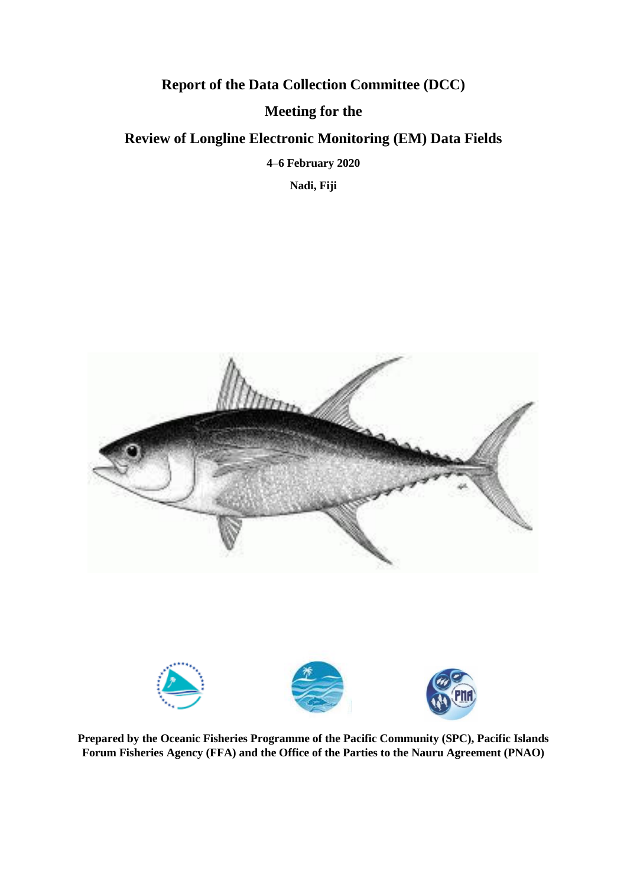# **Report of the Data Collection Committee (DCC) Meeting for the Review of Longline Electronic Monitoring (EM) Data Fields 4–6 February 2020**

**Nadi, Fiji**



**Prepared by the Oceanic Fisheries Programme of the Pacific Community (SPC), Pacific Islands Forum Fisheries Agency (FFA) and the Office of the Parties to the Nauru Agreement (PNAO)**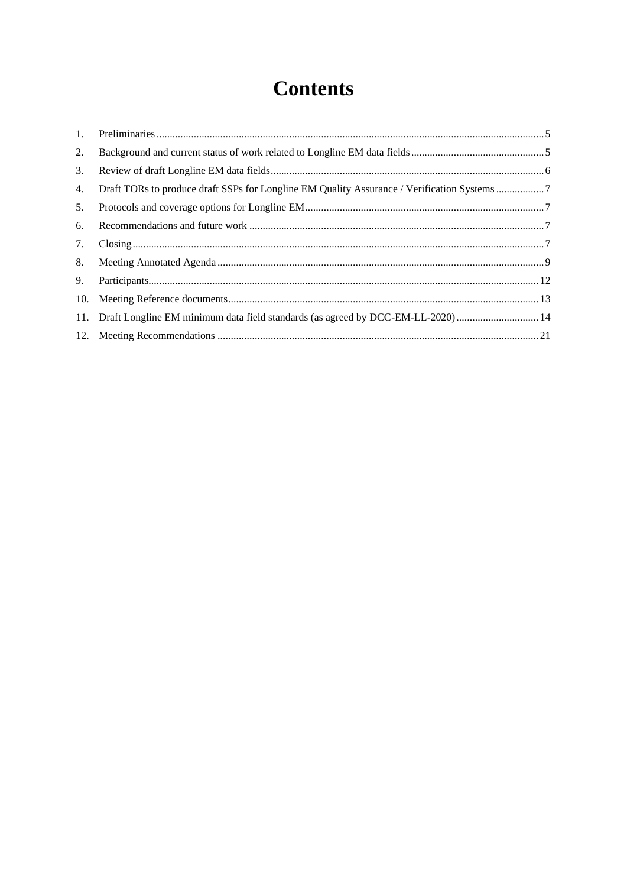# **Contents**

| 2. |                                                                                     |  |
|----|-------------------------------------------------------------------------------------|--|
| 3. |                                                                                     |  |
| 4. |                                                                                     |  |
| 5. |                                                                                     |  |
| 6. |                                                                                     |  |
| 7. |                                                                                     |  |
| 8. |                                                                                     |  |
| 9. |                                                                                     |  |
|    |                                                                                     |  |
|    | 14. Draft Longline EM minimum data field standards (as agreed by DCC-EM-LL-2020) 14 |  |
|    |                                                                                     |  |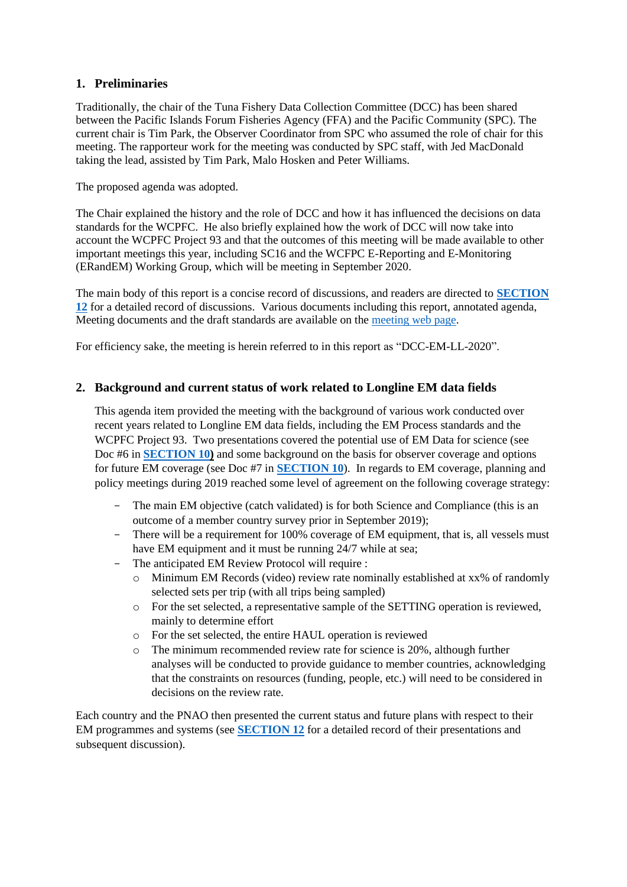## <span id="page-4-0"></span>**1. Preliminaries**

Traditionally, the chair of the Tuna Fishery Data Collection Committee (DCC) has been shared between the Pacific Islands Forum Fisheries Agency (FFA) and the Pacific Community (SPC). The current chair is Tim Park, the Observer Coordinator from SPC who assumed the role of chair for this meeting. The rapporteur work for the meeting was conducted by SPC staff, with Jed MacDonald taking the lead, assisted by Tim Park, Malo Hosken and Peter Williams.

The proposed agenda was adopted.

The Chair explained the history and the role of DCC and how it has influenced the decisions on data standards for the WCPFC. He also briefly explained how the work of DCC will now take into account the WCPFC Project 93 and that the outcomes of this meeting will be made available to other important meetings this year, including SC16 and the WCFPC E-Reporting and E-Monitoring (ERandEM) Working Group, which will be meeting in September 2020.

The main body of this report is a concise record of discussions, and readers are directed to **SECTION 12** for a detailed record of discussions. Various documents including this report, annotated agenda, Meeting documents and the draft standards are available on the [meeting web page.](https://oceanfish.spc.int/en/meetingsworkshops/dcc/510-data-collection-committee-review-of-longline-electronic-monitoring-data-fields-4-6-feb-2020)

For efficiency sake, the meeting is herein referred to in this report as "DCC-EM-LL-2020".

### <span id="page-4-1"></span>**2. Background and current status of work related to Longline EM data fields**

This agenda item provided the meeting with the background of various work conducted over recent years related to Longline EM data fields, including the EM Process standards and the WCPFC Project 93. Two presentations covered the potential use of EM Data for science (see Doc #6 in **[SECTION 10\)](#page-12-0)** and some background on the basis for observer coverage and options for future EM coverage (see Doc #7 in **[SECTION 10](#page-12-0)**). In regards to EM coverage, planning and policy meetings during 2019 reached some level of agreement on the following coverage strategy:

- The main EM objective (catch validated) is for both Science and Compliance (this is an outcome of a member country survey prior in September 2019);
- There will be a requirement for 100% coverage of EM equipment, that is, all vessels must have EM equipment and it must be running 24/7 while at sea;
- The anticipated EM Review Protocol will require :
	- o Minimum EM Records (video) review rate nominally established at xx% of randomly selected sets per trip (with all trips being sampled)
	- o For the set selected, a representative sample of the SETTING operation is reviewed, mainly to determine effort
	- For the set selected, the entire HAUL operation is reviewed
	- o The minimum recommended review rate for science is 20%, although further analyses will be conducted to provide guidance to member countries, acknowledging that the constraints on resources (funding, people, etc.) will need to be considered in decisions on the review rate.

Each country and the PNAO then presented the current status and future plans with respect to their EM programmes and systems (see **SECTION 12** for a detailed record of their presentations and subsequent discussion).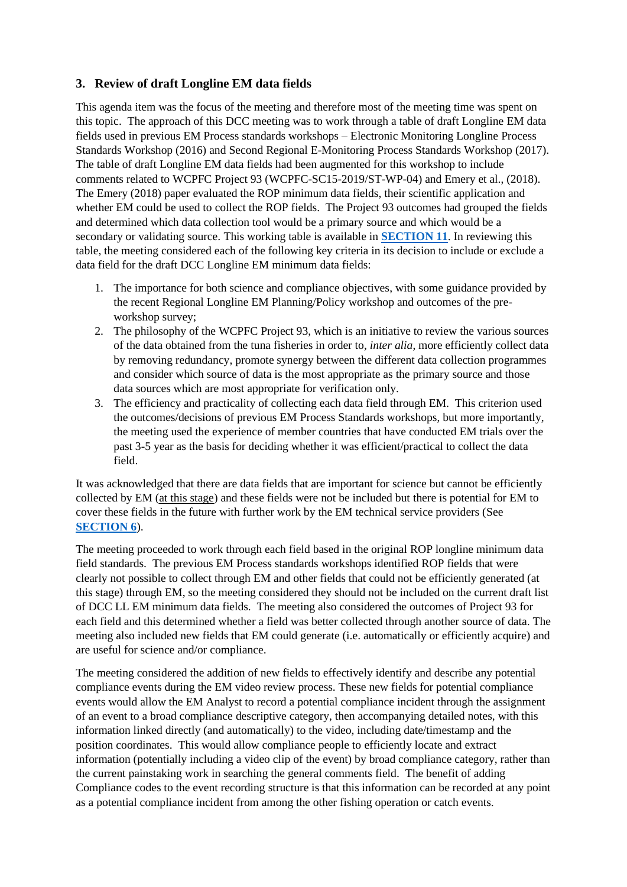## <span id="page-5-0"></span>**3. Review of draft Longline EM data fields**

This agenda item was the focus of the meeting and therefore most of the meeting time was spent on this topic. The approach of this DCC meeting was to work through a table of draft Longline EM data fields used in previous EM Process standards workshops – Electronic Monitoring Longline Process Standards Workshop (2016) and Second Regional E-Monitoring Process Standards Workshop (2017). The table of draft Longline EM data fields had been augmented for this workshop to include comments related to WCPFC Project 93 (WCPFC-SC15-2019/ST-WP-04) and Emery et al., (2018). The Emery (2018) paper evaluated the ROP minimum data fields, their scientific application and whether EM could be used to collect the ROP fields. The Project 93 outcomes had grouped the fields and determined which data collection tool would be a primary source and which would be a secondary or validating source. This working table is available in **[SECTION 11](#page-13-0)**. In reviewing this table, the meeting considered each of the following key criteria in its decision to include or exclude a data field for the draft DCC Longline EM minimum data fields:

- 1. The importance for both science and compliance objectives, with some guidance provided by the recent Regional Longline EM Planning/Policy workshop and outcomes of the preworkshop survey;
- 2. The philosophy of the WCPFC Project 93, which is an initiative to review the various sources of the data obtained from the tuna fisheries in order to, *inter alia*, more efficiently collect data by removing redundancy, promote synergy between the different data collection programmes and consider which source of data is the most appropriate as the primary source and those data sources which are most appropriate for verification only.
- 3. The efficiency and practicality of collecting each data field through EM. This criterion used the outcomes/decisions of previous EM Process Standards workshops, but more importantly, the meeting used the experience of member countries that have conducted EM trials over the past 3-5 year as the basis for deciding whether it was efficient/practical to collect the data field.

It was acknowledged that there are data fields that are important for science but cannot be efficiently collected by EM (at this stage) and these fields were not be included but there is potential for EM to cover these fields in the future with further work by the EM technical service providers (See **[SECTION 6](#page-6-2)**).

The meeting proceeded to work through each field based in the original ROP longline minimum data field standards. The previous EM Process standards workshops identified ROP fields that were clearly not possible to collect through EM and other fields that could not be efficiently generated (at this stage) through EM, so the meeting considered they should not be included on the current draft list of DCC LL EM minimum data fields. The meeting also considered the outcomes of Project 93 for each field and this determined whether a field was better collected through another source of data. The meeting also included new fields that EM could generate (i.e. automatically or efficiently acquire) and are useful for science and/or compliance.

The meeting considered the addition of new fields to effectively identify and describe any potential compliance events during the EM video review process. These new fields for potential compliance events would allow the EM Analyst to record a potential compliance incident through the assignment of an event to a broad compliance descriptive category, then accompanying detailed notes, with this information linked directly (and automatically) to the video, including date/timestamp and the position coordinates. This would allow compliance people to efficiently locate and extract information (potentially including a video clip of the event) by broad compliance category, rather than the current painstaking work in searching the general comments field. The benefit of adding Compliance codes to the event recording structure is that this information can be recorded at any point as a potential compliance incident from among the other fishing operation or catch events.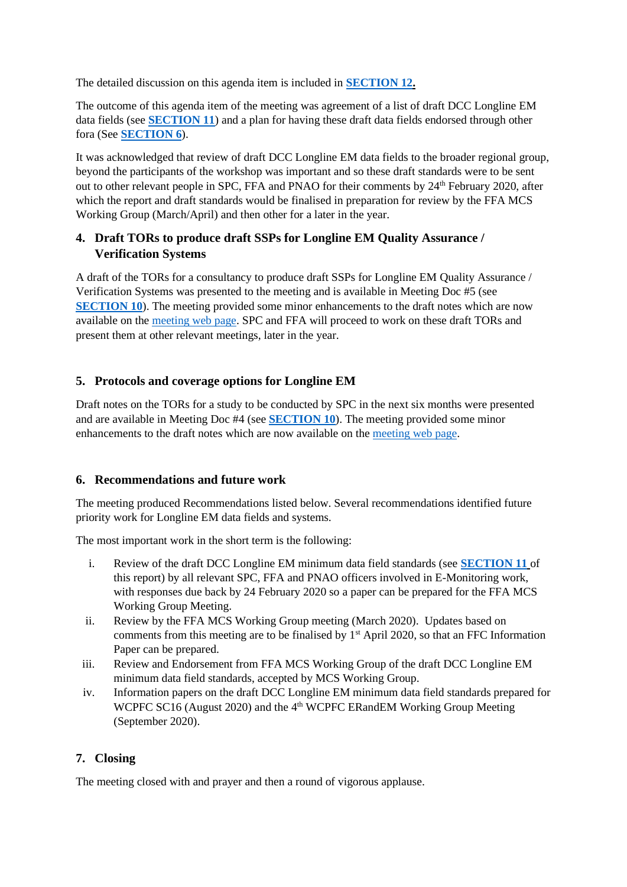The detailed discussion on this agenda item is included in **SECTION 12.**

The outcome of this agenda item of the meeting was agreement of a list of draft DCC Longline EM data fields (see **[SECTION 11](#page-13-0)**) and a plan for having these draft data fields endorsed through other fora (See **[SECTION 6](#page-6-2)**).

It was acknowledged that review of draft DCC Longline EM data fields to the broader regional group, beyond the participants of the workshop was important and so these draft standards were to be sent out to other relevant people in SPC, FFA and PNAO for their comments by 24<sup>th</sup> February 2020, after which the report and draft standards would be finalised in preparation for review by the FFA MCS Working Group (March/April) and then other for a later in the year.

## <span id="page-6-0"></span>**4. Draft TORs to produce draft SSPs for Longline EM Quality Assurance / Verification Systems**

A draft of the TORs for a consultancy to produce draft SSPs for Longline EM Quality Assurance / Verification Systems was presented to the meeting and is available in Meeting Doc #5 (see **[SECTION 10](#page-12-0)**). The meeting provided some minor enhancements to the draft notes which are now available on the [meeting web page.](https://oceanfish.spc.int/en/meetingsworkshops/dcc/510-data-collection-committee-review-of-longline-electronic-monitoring-data-fields-4-6-feb-2020) SPC and FFA will proceed to work on these draft TORs and present them at other relevant meetings, later in the year.

## <span id="page-6-1"></span>**5. Protocols and coverage options for Longline EM**

Draft notes on the TORs for a study to be conducted by SPC in the next six months were presented and are available in Meeting Doc #4 (see **[SECTION 10](#page-12-0)**). The meeting provided some minor enhancements to the draft notes which are now available on the [meeting web page.](https://oceanfish.spc.int/en/meetingsworkshops/dcc/510-data-collection-committee-review-of-longline-electronic-monitoring-data-fields-4-6-feb-2020)

## <span id="page-6-2"></span>**6. Recommendations and future work**

The meeting produced Recommendations listed below. Several recommendations identified future priority work for Longline EM data fields and systems.

The most important work in the short term is the following:

- i. Review of the draft DCC Longline EM minimum data field standards (see **[SECTION 11](#page-13-0)** of this report) by all relevant SPC, FFA and PNAO officers involved in E-Monitoring work, with responses due back by 24 February 2020 so a paper can be prepared for the FFA MCS Working Group Meeting.
- ii. Review by the FFA MCS Working Group meeting (March 2020). Updates based on comments from this meeting are to be finalised by  $1<sup>st</sup>$  April 2020, so that an FFC Information Paper can be prepared.
- iii. Review and Endorsement from FFA MCS Working Group of the draft DCC Longline EM minimum data field standards, accepted by MCS Working Group.
- iv. Information papers on the draft DCC Longline EM minimum data field standards prepared for WCPFC SC16 (August 2020) and the 4<sup>th</sup> WCPFC ERandEM Working Group Meeting (September 2020).

## <span id="page-6-3"></span>**7. Closing**

The meeting closed with and prayer and then a round of vigorous applause.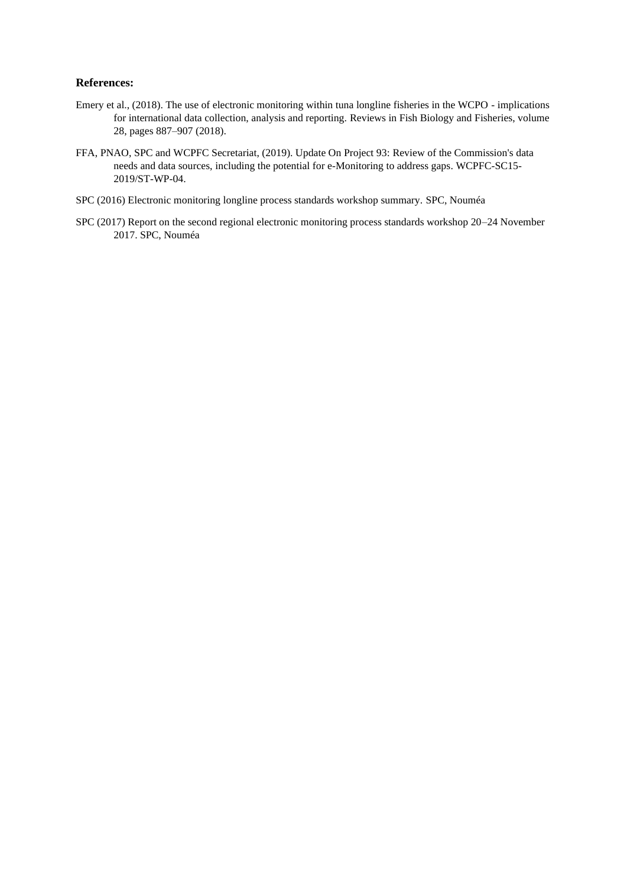#### **References:**

- Emery et al., (2018). The use of electronic monitoring within tuna longline fisheries in the WCPO implications for international data collection, analysis and reporting. Reviews in Fish Biology and Fisheries, volume 28, pages 887–907 (2018).
- FFA, PNAO, SPC and WCPFC Secretariat, (2019). Update On Project 93: Review of the Commission's data needs and data sources, including the potential for e-Monitoring to address gaps. WCPFC-SC15- 2019/ST-WP-04.
- SPC (2016) Electronic monitoring longline process standards workshop summary. SPC, Nouméa
- SPC (2017) Report on the second regional electronic monitoring process standards workshop 20–24 November 2017. SPC, Nouméa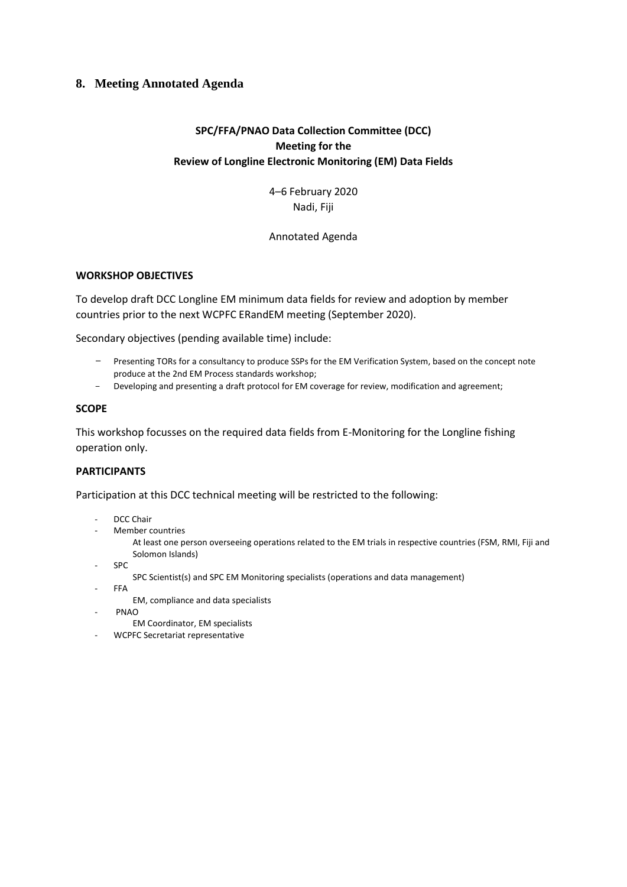### <span id="page-8-0"></span>**8. Meeting Annotated Agenda**

## **SPC/FFA/PNAO Data Collection Committee (DCC) Meeting for the Review of Longline Electronic Monitoring (EM) Data Fields**

4–6 February 2020 Nadi, Fiji

#### Annotated Agenda

#### **WORKSHOP OBJECTIVES**

To develop draft DCC Longline EM minimum data fields for review and adoption by member countries prior to the next WCPFC ERandEM meeting (September 2020).

Secondary objectives (pending available time) include:

- Presenting TORs for a consultancy to produce SSPs for the EM Verification System, based on the concept note produce at the 2nd EM Process standards workshop;
- Developing and presenting a draft protocol for EM coverage for review, modification and agreement;

#### **SCOPE**

This workshop focusses on the required data fields from E-Monitoring for the Longline fishing operation only.

#### **PARTICIPANTS**

Participation at this DCC technical meeting will be restricted to the following:

- DCC Chair
- Member countries

At least one person overseeing operations related to the EM trials in respective countries (FSM, RMI, Fiji and Solomon Islands)

- SPC
	- SPC Scientist(s) and SPC EM Monitoring specialists (operations and data management)
- FFA
	- EM, compliance and data specialists
- PNAO
	- EM Coordinator, EM specialists
- WCPFC Secretariat representative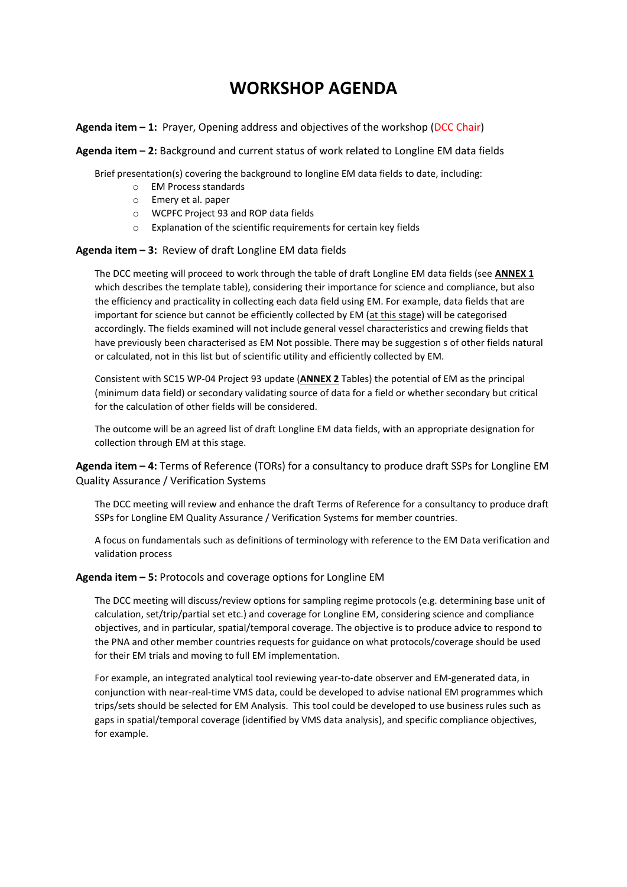## **WORKSHOP AGENDA**

**Agenda item – 1:** Prayer, Opening address and objectives of the workshop (DCC Chair)

**Agenda item – 2:** Background and current status of work related to Longline EM data fields

Brief presentation(s) covering the background to longline EM data fields to date, including:

- o EM Process standards
- o Emery et al. paper
- o WCPFC Project 93 and ROP data fields
- o Explanation of the scientific requirements for certain key fields

#### **Agenda item – 3:** Review of draft Longline EM data fields

The DCC meeting will proceed to work through the table of draft Longline EM data fields (see **ANNEX 1** which describes the template table), considering their importance for science and compliance, but also the efficiency and practicality in collecting each data field using EM. For example, data fields that are important for science but cannot be efficiently collected by EM (at this stage) will be categorised accordingly. The fields examined will not include general vessel characteristics and crewing fields that have previously been characterised as EM Not possible. There may be suggestion s of other fields natural or calculated, not in this list but of scientific utility and efficiently collected by EM.

Consistent with SC15 WP-04 Project 93 update (**ANNEX 2** Tables) the potential of EM as the principal (minimum data field) or secondary validating source of data for a field or whether secondary but critical for the calculation of other fields will be considered.

The outcome will be an agreed list of draft Longline EM data fields, with an appropriate designation for collection through EM at this stage.

**Agenda item – 4:** Terms of Reference (TORs) for a consultancy to produce draft SSPs for Longline EM Quality Assurance / Verification Systems

The DCC meeting will review and enhance the draft Terms of Reference for a consultancy to produce draft SSPs for Longline EM Quality Assurance / Verification Systems for member countries.

A focus on fundamentals such as definitions of terminology with reference to the EM Data verification and validation process

#### **Agenda item – 5:** Protocols and coverage options for Longline EM

The DCC meeting will discuss/review options for sampling regime protocols (e.g. determining base unit of calculation, set/trip/partial set etc.) and coverage for Longline EM, considering science and compliance objectives, and in particular, spatial/temporal coverage. The objective is to produce advice to respond to the PNA and other member countries requests for guidance on what protocols/coverage should be used for their EM trials and moving to full EM implementation.

For example, an integrated analytical tool reviewing year-to-date observer and EM-generated data, in conjunction with near-real-time VMS data, could be developed to advise national EM programmes which trips/sets should be selected for EM Analysis. This tool could be developed to use business rules such as gaps in spatial/temporal coverage (identified by VMS data analysis), and specific compliance objectives, for example.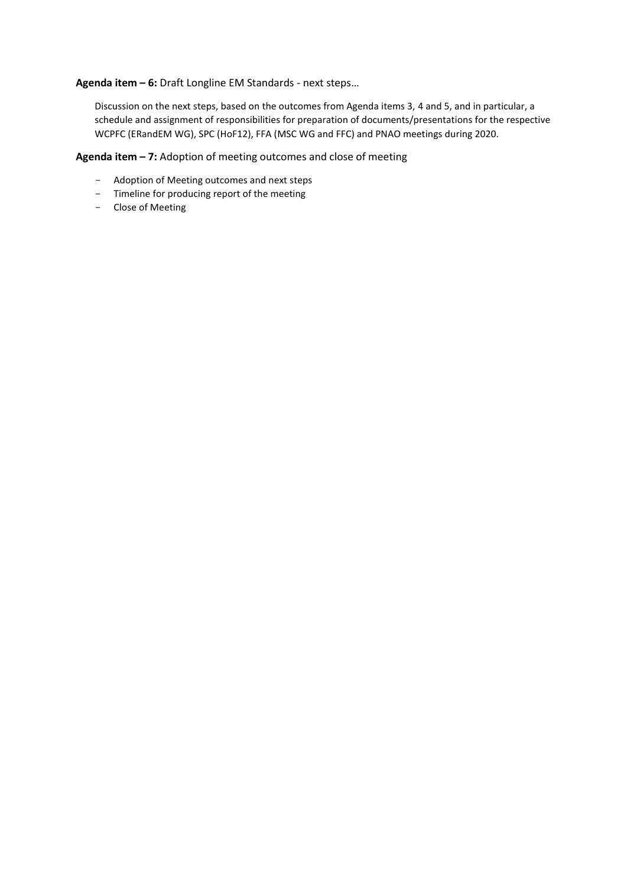**Agenda item – 6:** Draft Longline EM Standards - next steps…

Discussion on the next steps, based on the outcomes from Agenda items 3, 4 and 5, and in particular, a schedule and assignment of responsibilities for preparation of documents/presentations for the respective WCPFC (ERandEM WG), SPC (HoF12), FFA (MSC WG and FFC) and PNAO meetings during 2020.

**Agenda item – 7:** Adoption of meeting outcomes and close of meeting

- Adoption of Meeting outcomes and next steps
- Timeline for producing report of the meeting
- Close of Meeting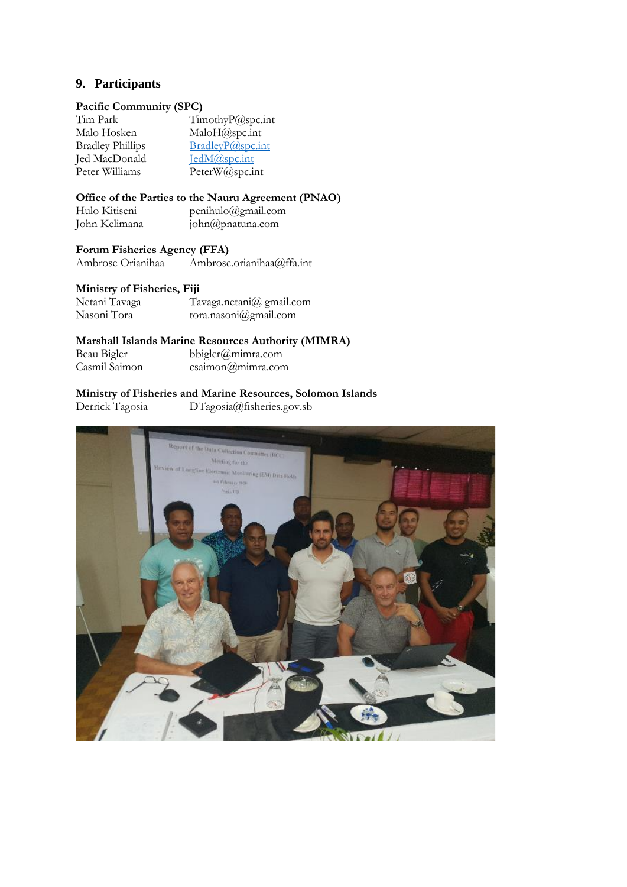### <span id="page-11-0"></span>**9. Participants**

#### **Pacific Community (SPC)**

| TimothyP@spc.int |
|------------------|
| MaloH@spc.int    |
| BradleyP@spc.int |
| JedM@spc.int     |
| PeterW@spc.int   |
|                  |

#### **Office of the Parties to the Nauru Agreement (PNAO)**

| Hulo Kitiseni | penihulo@gmail.com |
|---------------|--------------------|
| John Kelimana | john@pnatuna.com   |

## **Forum Fisheries Agency (FFA)**

Ambrose.orianihaa@ffa.int

#### **Ministry of Fisheries, Fiji**

| Netani Tavaga | Tavaga.netani@gmail.com |
|---------------|-------------------------|
| Nasoni Tora   | tora.nasoni@gmail.com   |

#### **Marshall Islands Marine Resources Authority (MIMRA)**

| Beau Bigler   |  |
|---------------|--|
| Casmil Saimon |  |

### bbigler@mimra.com  $csaimon @minra.com$

# **Ministry of Fisheries and Marine Resources, Solomon Islands**<br>Derrick Tagosia DTagosia@fisheries.gov.sb

DTagosia@fisheries.gov.sb

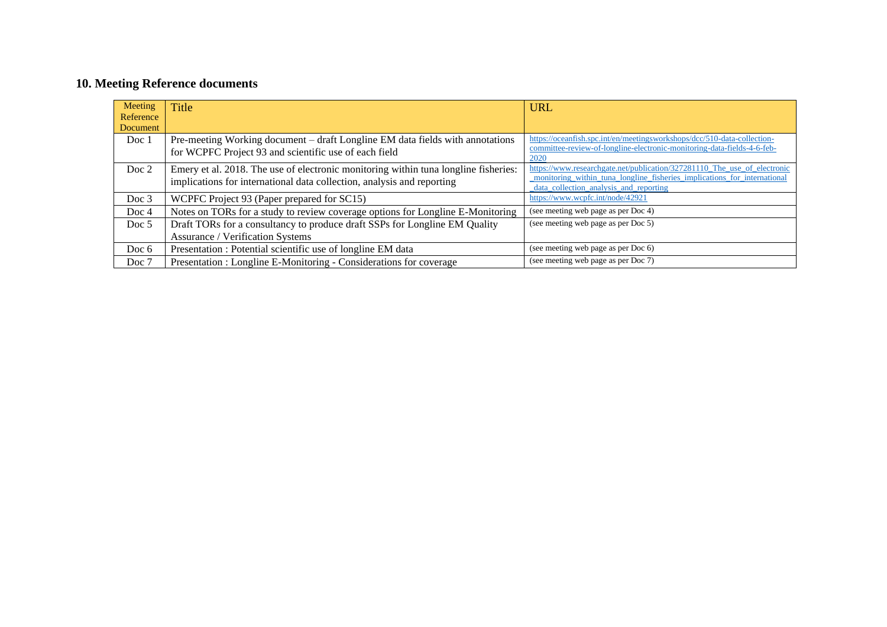## **10. Meeting Reference documents**

<span id="page-12-0"></span>

| Meeting<br>Reference | <b>Title</b>                                                                                                                                                  | <b>URL</b>                                                                                                                                                                                     |
|----------------------|---------------------------------------------------------------------------------------------------------------------------------------------------------------|------------------------------------------------------------------------------------------------------------------------------------------------------------------------------------------------|
| Document             |                                                                                                                                                               |                                                                                                                                                                                                |
| Doc 1                | Pre-meeting Working document – draft Longline EM data fields with annotations<br>for WCPFC Project 93 and scientific use of each field                        | https://oceanfish.spc.int/en/meetingsworkshops/dcc/510-data-collection-<br>committee-review-of-longline-electronic-monitoring-data-fields-4-6-feb-<br>2020                                     |
| Doc 2                | Emery et al. 2018. The use of electronic monitoring within tuna longline fisheries:<br>implications for international data collection, analysis and reporting | https://www.researchgate.net/publication/327281110_The_use_of_electronic<br>monitoring within tuna longline fisheries implications for international<br>data_collection_analysis_and_reporting |
| Doc $3$              | WCPFC Project 93 (Paper prepared for SC15)                                                                                                                    | https://www.wcpfc.int/node/42921                                                                                                                                                               |
| Doc $4$              | Notes on TORs for a study to review coverage options for Longline E-Monitoring                                                                                | (see meeting web page as per Doc 4)                                                                                                                                                            |
| Doc $5$              | Draft TORs for a consultancy to produce draft SSPs for Longline EM Quality<br><b>Assurance / Verification Systems</b>                                         | (see meeting web page as per Doc 5)                                                                                                                                                            |
| Doc $6$              | Presentation : Potential scientific use of longline EM data                                                                                                   | (see meeting web page as per Doc 6)                                                                                                                                                            |
| Doc 7                | Presentation : Longline E-Monitoring - Considerations for coverage                                                                                            | (see meeting web page as per Doc 7)                                                                                                                                                            |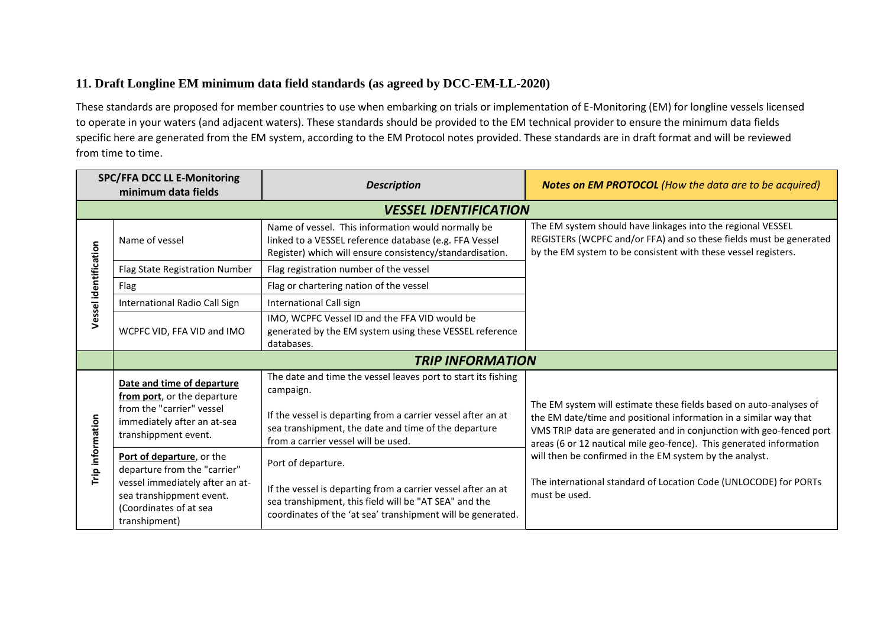## **11. Draft Longline EM minimum data field standards (as agreed by DCC-EM-LL-2020)**

These standards are proposed for member countries to use when embarking on trials or implementation of E-Monitoring (EM) for longline vessels licensed to operate in your waters (and adjacent waters). These standards should be provided to the EM technical provider to ensure the minimum data fields specific here are generated from the EM system, according to the EM Protocol notes provided. These standards are in draft format and will be reviewed from time to time.

<span id="page-13-0"></span>

| <b>SPC/FFA DCC LL E-Monitoring</b><br>minimum data fields |                                                                                                                                                                     | <b>Description</b>                                                                                                                                                                                                                        | <b>Notes on EM PROTOCOL</b> (How the data are to be acquired)                                                                                                                                                                                                                         |
|-----------------------------------------------------------|---------------------------------------------------------------------------------------------------------------------------------------------------------------------|-------------------------------------------------------------------------------------------------------------------------------------------------------------------------------------------------------------------------------------------|---------------------------------------------------------------------------------------------------------------------------------------------------------------------------------------------------------------------------------------------------------------------------------------|
|                                                           |                                                                                                                                                                     | <b>VESSEL IDENTIFICATION</b>                                                                                                                                                                                                              |                                                                                                                                                                                                                                                                                       |
| Vessel identification                                     | Name of vessel                                                                                                                                                      | Name of vessel. This information would normally be<br>linked to a VESSEL reference database (e.g. FFA Vessel<br>Register) which will ensure consistency/standardisation.                                                                  | The EM system should have linkages into the regional VESSEL<br>REGISTERs (WCPFC and/or FFA) and so these fields must be generated<br>by the EM system to be consistent with these vessel registers.                                                                                   |
|                                                           | Flag State Registration Number                                                                                                                                      | Flag registration number of the vessel                                                                                                                                                                                                    |                                                                                                                                                                                                                                                                                       |
|                                                           | Flag                                                                                                                                                                | Flag or chartering nation of the vessel                                                                                                                                                                                                   |                                                                                                                                                                                                                                                                                       |
|                                                           | International Radio Call Sign                                                                                                                                       | International Call sign                                                                                                                                                                                                                   |                                                                                                                                                                                                                                                                                       |
|                                                           | WCPFC VID, FFA VID and IMO                                                                                                                                          | IMO, WCPFC Vessel ID and the FFA VID would be<br>generated by the EM system using these VESSEL reference<br>databases.                                                                                                                    |                                                                                                                                                                                                                                                                                       |
|                                                           | <b>TRIP INFORMATION</b>                                                                                                                                             |                                                                                                                                                                                                                                           |                                                                                                                                                                                                                                                                                       |
| Trip information                                          | Date and time of departure<br>from port, or the departure<br>from the "carrier" vessel<br>immediately after an at-sea<br>transhippment event.                       | The date and time the vessel leaves port to start its fishing<br>campaign.<br>If the vessel is departing from a carrier vessel after an at<br>sea transhipment, the date and time of the departure<br>from a carrier vessel will be used. | The EM system will estimate these fields based on auto-analyses of<br>the EM date/time and positional information in a similar way that<br>VMS TRIP data are generated and in conjunction with geo-fenced port<br>areas (6 or 12 nautical mile geo-fence). This generated information |
|                                                           | Port of departure, or the<br>departure from the "carrier"<br>vessel immediately after an at-<br>sea transhippment event.<br>(Coordinates of at sea<br>transhipment) | Port of departure.<br>If the vessel is departing from a carrier vessel after an at<br>sea transhipment, this field will be "AT SEA" and the<br>coordinates of the 'at sea' transhipment will be generated.                                | will then be confirmed in the EM system by the analyst.<br>The international standard of Location Code (UNLOCODE) for PORTs<br>must be used.                                                                                                                                          |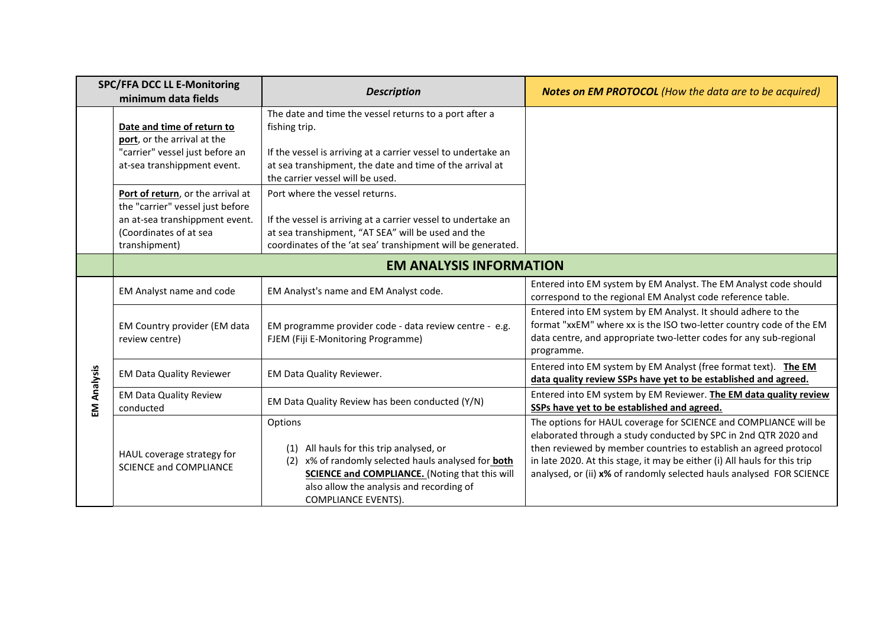| <b>SPC/FFA DCC LL E-Monitoring</b><br>minimum data fields |                                                                                                                                                    | <b>Description</b>                                                                                                                                                                                                                                         | <b>Notes on EM PROTOCOL</b> (How the data are to be acquired)                                                                                                                                                                                                                                                                                                 |
|-----------------------------------------------------------|----------------------------------------------------------------------------------------------------------------------------------------------------|------------------------------------------------------------------------------------------------------------------------------------------------------------------------------------------------------------------------------------------------------------|---------------------------------------------------------------------------------------------------------------------------------------------------------------------------------------------------------------------------------------------------------------------------------------------------------------------------------------------------------------|
|                                                           | Date and time of return to<br>port, or the arrival at the<br>"carrier" vessel just before an<br>at-sea transhippment event.                        | The date and time the vessel returns to a port after a<br>fishing trip.<br>If the vessel is arriving at a carrier vessel to undertake an<br>at sea transhipment, the date and time of the arrival at<br>the carrier vessel will be used.                   |                                                                                                                                                                                                                                                                                                                                                               |
|                                                           | Port of return, or the arrival at<br>the "carrier" vessel just before<br>an at-sea transhippment event.<br>(Coordinates of at sea<br>transhipment) | Port where the vessel returns.<br>If the vessel is arriving at a carrier vessel to undertake an<br>at sea transhipment, "AT SEA" will be used and the<br>coordinates of the 'at sea' transhipment will be generated.                                       |                                                                                                                                                                                                                                                                                                                                                               |
|                                                           |                                                                                                                                                    | <b>EM ANALYSIS INFORMATION</b>                                                                                                                                                                                                                             |                                                                                                                                                                                                                                                                                                                                                               |
| EM Analysis                                               | EM Analyst name and code                                                                                                                           | EM Analyst's name and EM Analyst code.                                                                                                                                                                                                                     | Entered into EM system by EM Analyst. The EM Analyst code should<br>correspond to the regional EM Analyst code reference table.                                                                                                                                                                                                                               |
|                                                           | EM Country provider (EM data<br>review centre)                                                                                                     | EM programme provider code - data review centre - e.g.<br>FJEM (Fiji E-Monitoring Programme)                                                                                                                                                               | Entered into EM system by EM Analyst. It should adhere to the<br>format "xxEM" where xx is the ISO two-letter country code of the EM<br>data centre, and appropriate two-letter codes for any sub-regional<br>programme.                                                                                                                                      |
|                                                           | <b>EM Data Quality Reviewer</b>                                                                                                                    | EM Data Quality Reviewer.                                                                                                                                                                                                                                  | Entered into EM system by EM Analyst (free format text). The EM<br>data quality review SSPs have yet to be established and agreed.                                                                                                                                                                                                                            |
|                                                           | <b>EM Data Quality Review</b><br>conducted                                                                                                         | EM Data Quality Review has been conducted (Y/N)                                                                                                                                                                                                            | Entered into EM system by EM Reviewer. The EM data quality review<br>SSPs have yet to be established and agreed.                                                                                                                                                                                                                                              |
|                                                           | HAUL coverage strategy for<br><b>SCIENCE and COMPLIANCE</b>                                                                                        | Options<br>All hauls for this trip analysed, or<br>(1)<br>x% of randomly selected hauls analysed for <b>both</b><br>(2)<br><b>SCIENCE and COMPLIANCE.</b> (Noting that this will<br>also allow the analysis and recording of<br><b>COMPLIANCE EVENTS).</b> | The options for HAUL coverage for SCIENCE and COMPLIANCE will be<br>elaborated through a study conducted by SPC in 2nd QTR 2020 and<br>then reviewed by member countries to establish an agreed protocol<br>in late 2020. At this stage, it may be either (i) All hauls for this trip<br>analysed, or (ii) x% of randomly selected hauls analysed FOR SCIENCE |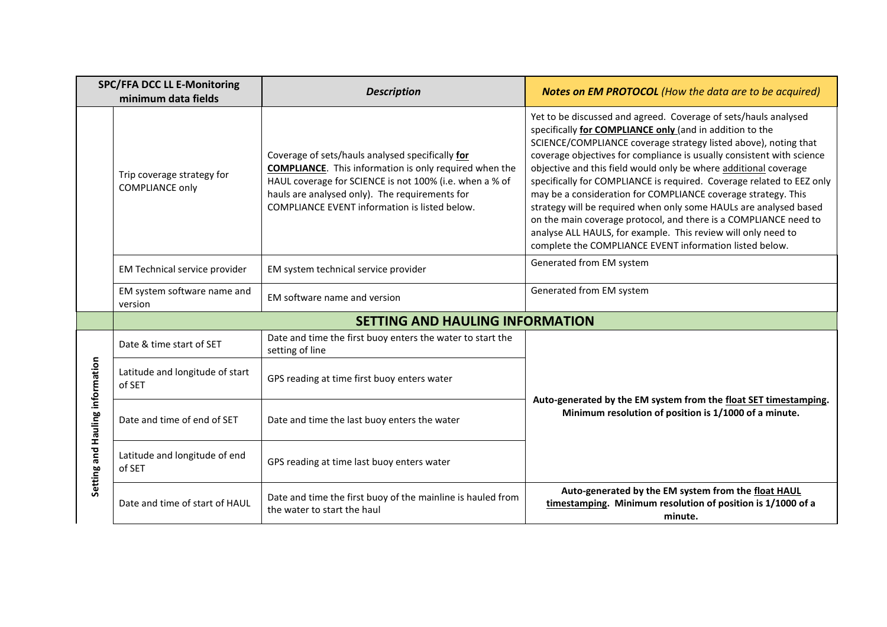| <b>SPC/FFA DCC LL E-Monitoring</b><br>minimum data fields |                                                      | <b>Description</b>                                                                                                                                                                                                                                                              | <b>Notes on EM PROTOCOL</b> (How the data are to be acquired)                                                                                                                                                                                                                                                                                                                                                                                                                                                                                                                                                                                                                                                                                              |
|-----------------------------------------------------------|------------------------------------------------------|---------------------------------------------------------------------------------------------------------------------------------------------------------------------------------------------------------------------------------------------------------------------------------|------------------------------------------------------------------------------------------------------------------------------------------------------------------------------------------------------------------------------------------------------------------------------------------------------------------------------------------------------------------------------------------------------------------------------------------------------------------------------------------------------------------------------------------------------------------------------------------------------------------------------------------------------------------------------------------------------------------------------------------------------------|
|                                                           | Trip coverage strategy for<br><b>COMPLIANCE only</b> | Coverage of sets/hauls analysed specifically for<br><b>COMPLIANCE.</b> This information is only required when the<br>HAUL coverage for SCIENCE is not 100% (i.e. when a % of<br>hauls are analysed only). The requirements for<br>COMPLIANCE EVENT information is listed below. | Yet to be discussed and agreed. Coverage of sets/hauls analysed<br>specifically for COMPLIANCE only (and in addition to the<br>SCIENCE/COMPLIANCE coverage strategy listed above), noting that<br>coverage objectives for compliance is usually consistent with science<br>objective and this field would only be where additional coverage<br>specifically for COMPLIANCE is required. Coverage related to EEZ only<br>may be a consideration for COMPLIANCE coverage strategy. This<br>strategy will be required when only some HAULs are analysed based<br>on the main coverage protocol, and there is a COMPLIANCE need to<br>analyse ALL HAULS, for example. This review will only need to<br>complete the COMPLIANCE EVENT information listed below. |
|                                                           | <b>EM Technical service provider</b>                 | EM system technical service provider                                                                                                                                                                                                                                            | Generated from EM system                                                                                                                                                                                                                                                                                                                                                                                                                                                                                                                                                                                                                                                                                                                                   |
|                                                           | EM system software name and<br>version               | EM software name and version                                                                                                                                                                                                                                                    | Generated from EM system                                                                                                                                                                                                                                                                                                                                                                                                                                                                                                                                                                                                                                                                                                                                   |
|                                                           |                                                      | <b>SETTING AND HAULING INFORMATION</b>                                                                                                                                                                                                                                          |                                                                                                                                                                                                                                                                                                                                                                                                                                                                                                                                                                                                                                                                                                                                                            |
|                                                           | Date & time start of SET                             | Date and time the first buoy enters the water to start the<br>setting of line                                                                                                                                                                                                   |                                                                                                                                                                                                                                                                                                                                                                                                                                                                                                                                                                                                                                                                                                                                                            |
|                                                           | Latitude and longitude of start<br>of SET            | GPS reading at time first buoy enters water                                                                                                                                                                                                                                     |                                                                                                                                                                                                                                                                                                                                                                                                                                                                                                                                                                                                                                                                                                                                                            |
| Setting and Hauling information                           | Date and time of end of SET                          | Date and time the last buoy enters the water                                                                                                                                                                                                                                    | Auto-generated by the EM system from the float SET timestamping.<br>Minimum resolution of position is 1/1000 of a minute.                                                                                                                                                                                                                                                                                                                                                                                                                                                                                                                                                                                                                                  |
|                                                           | Latitude and longitude of end<br>of SET              | GPS reading at time last buoy enters water                                                                                                                                                                                                                                      |                                                                                                                                                                                                                                                                                                                                                                                                                                                                                                                                                                                                                                                                                                                                                            |
|                                                           | Date and time of start of HAUL                       | Date and time the first buoy of the mainline is hauled from<br>the water to start the haul                                                                                                                                                                                      | Auto-generated by the EM system from the float HAUL<br>timestamping. Minimum resolution of position is 1/1000 of a<br>minute.                                                                                                                                                                                                                                                                                                                                                                                                                                                                                                                                                                                                                              |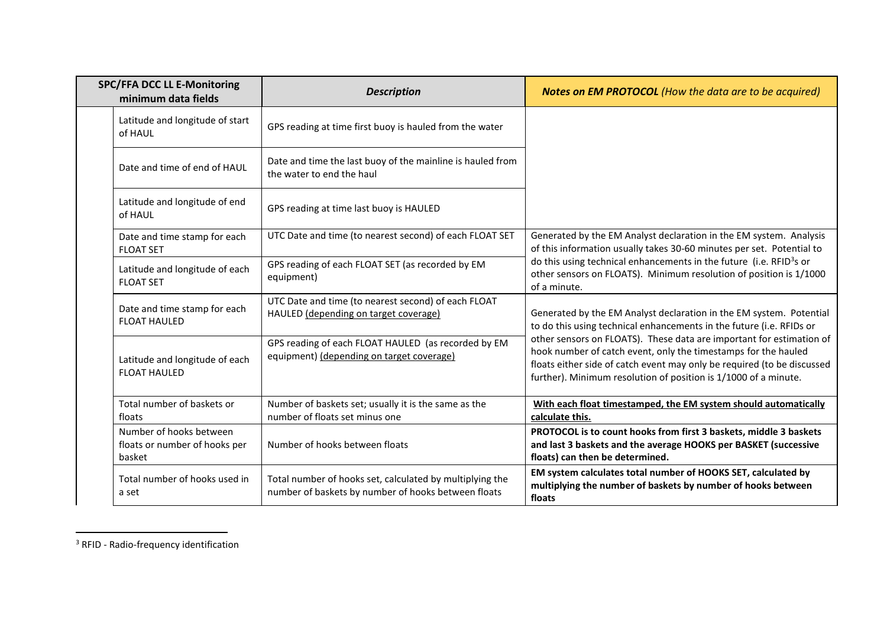| <b>SPC/FFA DCC LL E-Monitoring</b><br>minimum data fields          | <b>Description</b>                                                                                              | <b>Notes on EM PROTOCOL</b> (How the data are to be acquired)                                                                                                                                                                                                                        |
|--------------------------------------------------------------------|-----------------------------------------------------------------------------------------------------------------|--------------------------------------------------------------------------------------------------------------------------------------------------------------------------------------------------------------------------------------------------------------------------------------|
| Latitude and longitude of start<br>of HAUL                         | GPS reading at time first buoy is hauled from the water                                                         |                                                                                                                                                                                                                                                                                      |
| Date and time of end of HAUL                                       | Date and time the last buoy of the mainline is hauled from<br>the water to end the haul                         |                                                                                                                                                                                                                                                                                      |
| Latitude and longitude of end<br>of HAUL                           | GPS reading at time last buoy is HAULED                                                                         |                                                                                                                                                                                                                                                                                      |
| Date and time stamp for each<br><b>FLOAT SET</b>                   | UTC Date and time (to nearest second) of each FLOAT SET                                                         | Generated by the EM Analyst declaration in the EM system. Analysis<br>of this information usually takes 30-60 minutes per set. Potential to                                                                                                                                          |
| Latitude and longitude of each<br><b>FLOAT SET</b>                 | GPS reading of each FLOAT SET (as recorded by EM<br>equipment)                                                  | do this using technical enhancements in the future (i.e. RFID <sup>3</sup> s or<br>other sensors on FLOATS). Minimum resolution of position is 1/1000<br>of a minute.                                                                                                                |
| Date and time stamp for each<br><b>FLOAT HAULED</b>                | UTC Date and time (to nearest second) of each FLOAT<br>HAULED (depending on target coverage)                    | Generated by the EM Analyst declaration in the EM system. Potential<br>to do this using technical enhancements in the future (i.e. RFIDs or                                                                                                                                          |
| Latitude and longitude of each<br><b>FLOAT HAULED</b>              | GPS reading of each FLOAT HAULED (as recorded by EM<br>equipment) (depending on target coverage)                | other sensors on FLOATS). These data are important for estimation of<br>hook number of catch event, only the timestamps for the hauled<br>floats either side of catch event may only be required (to be discussed<br>further). Minimum resolution of position is 1/1000 of a minute. |
| Total number of baskets or<br>floats                               | Number of baskets set; usually it is the same as the<br>number of floats set minus one                          | With each float timestamped, the EM system should automatically<br>calculate this.                                                                                                                                                                                                   |
| Number of hooks between<br>floats or number of hooks per<br>basket | Number of hooks between floats                                                                                  | PROTOCOL is to count hooks from first 3 baskets, middle 3 baskets<br>and last 3 baskets and the average HOOKS per BASKET (successive<br>floats) can then be determined.                                                                                                              |
| Total number of hooks used in<br>a set                             | Total number of hooks set, calculated by multiplying the<br>number of baskets by number of hooks between floats | EM system calculates total number of HOOKS SET, calculated by<br>multiplying the number of baskets by number of hooks between<br>floats                                                                                                                                              |

<sup>3</sup> RFID - Radio-frequency identification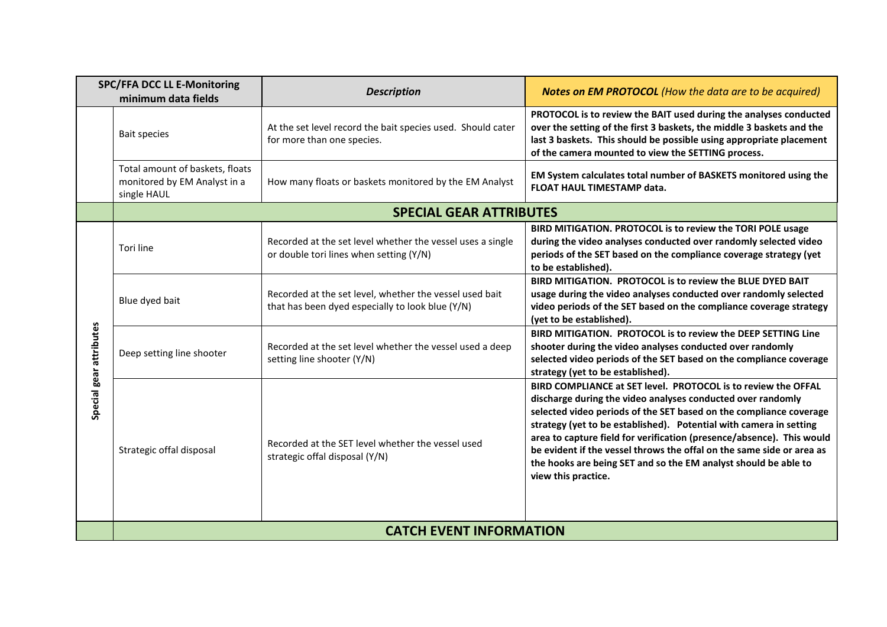| <b>SPC/FFA DCC LL E-Monitoring</b><br>minimum data fields |                                                                                | <b>Description</b>                                                                                          | Notes on EM PROTOCOL (How the data are to be acquired)                                                                                                                                                                                                                                                                                                                                                                                                                                                               |
|-----------------------------------------------------------|--------------------------------------------------------------------------------|-------------------------------------------------------------------------------------------------------------|----------------------------------------------------------------------------------------------------------------------------------------------------------------------------------------------------------------------------------------------------------------------------------------------------------------------------------------------------------------------------------------------------------------------------------------------------------------------------------------------------------------------|
|                                                           | <b>Bait species</b>                                                            | At the set level record the bait species used. Should cater<br>for more than one species.                   | PROTOCOL is to review the BAIT used during the analyses conducted<br>over the setting of the first 3 baskets, the middle 3 baskets and the<br>last 3 baskets. This should be possible using appropriate placement<br>of the camera mounted to view the SETTING process.                                                                                                                                                                                                                                              |
|                                                           | Total amount of baskets, floats<br>monitored by EM Analyst in a<br>single HAUL | How many floats or baskets monitored by the EM Analyst                                                      | EM System calculates total number of BASKETS monitored using the<br>FLOAT HAUL TIMESTAMP data.                                                                                                                                                                                                                                                                                                                                                                                                                       |
|                                                           |                                                                                | <b>SPECIAL GEAR ATTRIBUTES</b>                                                                              |                                                                                                                                                                                                                                                                                                                                                                                                                                                                                                                      |
|                                                           | Tori line                                                                      | Recorded at the set level whether the vessel uses a single<br>or double tori lines when setting (Y/N)       | BIRD MITIGATION. PROTOCOL is to review the TORI POLE usage<br>during the video analyses conducted over randomly selected video<br>periods of the SET based on the compliance coverage strategy (yet<br>to be established).                                                                                                                                                                                                                                                                                           |
| Special gear attributes                                   | Blue dyed bait                                                                 | Recorded at the set level, whether the vessel used bait<br>that has been dyed especially to look blue (Y/N) | BIRD MITIGATION. PROTOCOL is to review the BLUE DYED BAIT<br>usage during the video analyses conducted over randomly selected<br>video periods of the SET based on the compliance coverage strategy<br>(yet to be established).                                                                                                                                                                                                                                                                                      |
|                                                           | Deep setting line shooter                                                      | Recorded at the set level whether the vessel used a deep<br>setting line shooter (Y/N)                      | BIRD MITIGATION. PROTOCOL is to review the DEEP SETTING Line<br>shooter during the video analyses conducted over randomly<br>selected video periods of the SET based on the compliance coverage<br>strategy (yet to be established).                                                                                                                                                                                                                                                                                 |
|                                                           | Strategic offal disposal                                                       | Recorded at the SET level whether the vessel used<br>strategic offal disposal (Y/N)                         | BIRD COMPLIANCE at SET level. PROTOCOL is to review the OFFAL<br>discharge during the video analyses conducted over randomly<br>selected video periods of the SET based on the compliance coverage<br>strategy (yet to be established). Potential with camera in setting<br>area to capture field for verification (presence/absence). This would<br>be evident if the vessel throws the offal on the same side or area as<br>the hooks are being SET and so the EM analyst should be able to<br>view this practice. |
|                                                           |                                                                                | <b>CATCH EVENT INFORMATION</b>                                                                              |                                                                                                                                                                                                                                                                                                                                                                                                                                                                                                                      |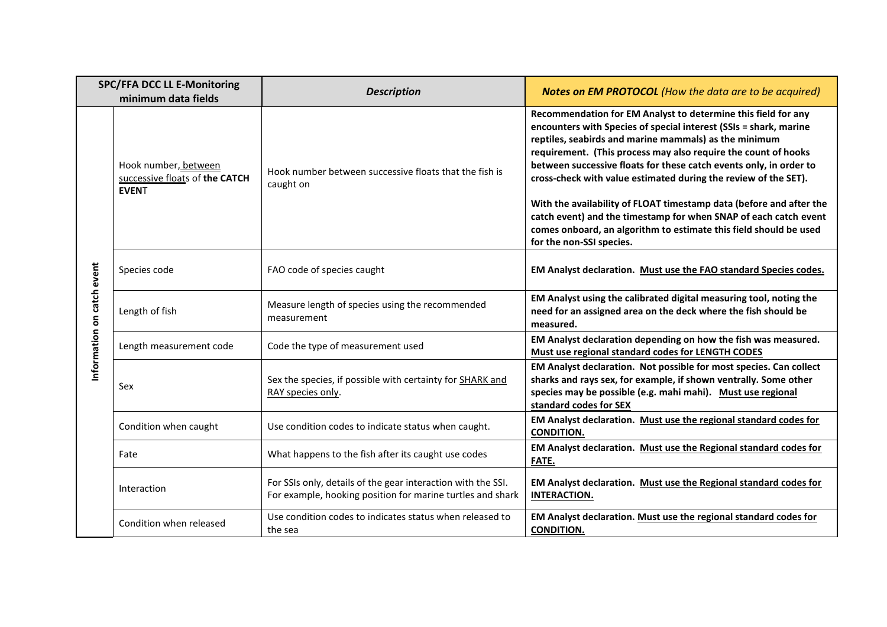| <b>SPC/FFA DCC LL E-Monitoring</b><br>minimum data fields |                                                                        | <b>Description</b>                                                                                                         | <b>Notes on EM PROTOCOL</b> (How the data are to be acquired)                                                                                                                                                                                                                                                                                                                                                                                                                                                                                                                                                                                      |
|-----------------------------------------------------------|------------------------------------------------------------------------|----------------------------------------------------------------------------------------------------------------------------|----------------------------------------------------------------------------------------------------------------------------------------------------------------------------------------------------------------------------------------------------------------------------------------------------------------------------------------------------------------------------------------------------------------------------------------------------------------------------------------------------------------------------------------------------------------------------------------------------------------------------------------------------|
|                                                           | Hook number, between<br>successive floats of the CATCH<br><b>EVENT</b> | Hook number between successive floats that the fish is<br>caught on                                                        | Recommendation for EM Analyst to determine this field for any<br>encounters with Species of special interest (SSIs = shark, marine<br>reptiles, seabirds and marine mammals) as the minimum<br>requirement. (This process may also require the count of hooks<br>between successive floats for these catch events only, in order to<br>cross-check with value estimated during the review of the SET).<br>With the availability of FLOAT timestamp data (before and after the<br>catch event) and the timestamp for when SNAP of each catch event<br>comes onboard, an algorithm to estimate this field should be used<br>for the non-SSI species. |
|                                                           | Species code                                                           | FAO code of species caught                                                                                                 | EM Analyst declaration. Must use the FAO standard Species codes.                                                                                                                                                                                                                                                                                                                                                                                                                                                                                                                                                                                   |
| information on catch event                                | Length of fish                                                         | Measure length of species using the recommended<br>measurement                                                             | EM Analyst using the calibrated digital measuring tool, noting the<br>need for an assigned area on the deck where the fish should be<br>measured.                                                                                                                                                                                                                                                                                                                                                                                                                                                                                                  |
|                                                           | Length measurement code                                                | Code the type of measurement used                                                                                          | EM Analyst declaration depending on how the fish was measured.<br>Must use regional standard codes for LENGTH CODES                                                                                                                                                                                                                                                                                                                                                                                                                                                                                                                                |
|                                                           | Sex                                                                    | Sex the species, if possible with certainty for SHARK and<br>RAY species only.                                             | EM Analyst declaration. Not possible for most species. Can collect<br>sharks and rays sex, for example, if shown ventrally. Some other<br>species may be possible (e.g. mahi mahi). Must use regional<br>standard codes for SEX                                                                                                                                                                                                                                                                                                                                                                                                                    |
|                                                           | Condition when caught                                                  | Use condition codes to indicate status when caught.                                                                        | EM Analyst declaration. Must use the regional standard codes for<br><b>CONDITION.</b>                                                                                                                                                                                                                                                                                                                                                                                                                                                                                                                                                              |
|                                                           | Fate                                                                   | What happens to the fish after its caught use codes                                                                        | EM Analyst declaration. Must use the Regional standard codes for<br>FATE.                                                                                                                                                                                                                                                                                                                                                                                                                                                                                                                                                                          |
|                                                           | Interaction                                                            | For SSIs only, details of the gear interaction with the SSI.<br>For example, hooking position for marine turtles and shark | EM Analyst declaration. Must use the Regional standard codes for<br><b>INTERACTION.</b>                                                                                                                                                                                                                                                                                                                                                                                                                                                                                                                                                            |
|                                                           | Condition when released                                                | Use condition codes to indicates status when released to<br>the sea                                                        | EM Analyst declaration. Must use the regional standard codes for<br><b>CONDITION.</b>                                                                                                                                                                                                                                                                                                                                                                                                                                                                                                                                                              |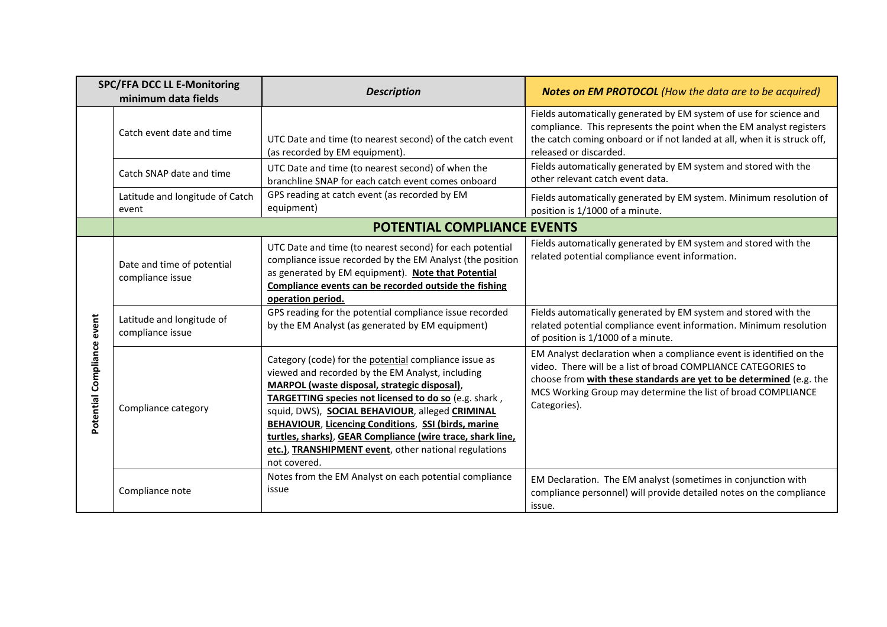| <b>SPC/FFA DCC LL E-Monitoring</b><br>minimum data fields |                                                | <b>Description</b>                                                                                                                                                                                                                                                                                                                                                                                                                                                  | <b>Notes on EM PROTOCOL</b> (How the data are to be acquired)                                                                                                                                                                                                                               |
|-----------------------------------------------------------|------------------------------------------------|---------------------------------------------------------------------------------------------------------------------------------------------------------------------------------------------------------------------------------------------------------------------------------------------------------------------------------------------------------------------------------------------------------------------------------------------------------------------|---------------------------------------------------------------------------------------------------------------------------------------------------------------------------------------------------------------------------------------------------------------------------------------------|
|                                                           | Catch event date and time                      | UTC Date and time (to nearest second) of the catch event<br>(as recorded by EM equipment).                                                                                                                                                                                                                                                                                                                                                                          | Fields automatically generated by EM system of use for science and<br>compliance. This represents the point when the EM analyst registers<br>the catch coming onboard or if not landed at all, when it is struck off,<br>released or discarded.                                             |
|                                                           | Catch SNAP date and time                       | UTC Date and time (to nearest second) of when the<br>branchline SNAP for each catch event comes onboard                                                                                                                                                                                                                                                                                                                                                             | Fields automatically generated by EM system and stored with the<br>other relevant catch event data.                                                                                                                                                                                         |
|                                                           | Latitude and longitude of Catch<br>event       | GPS reading at catch event (as recorded by EM<br>equipment)                                                                                                                                                                                                                                                                                                                                                                                                         | Fields automatically generated by EM system. Minimum resolution of<br>position is 1/1000 of a minute.                                                                                                                                                                                       |
|                                                           | <b>POTENTIAL COMPLIANCE EVENTS</b>             |                                                                                                                                                                                                                                                                                                                                                                                                                                                                     |                                                                                                                                                                                                                                                                                             |
| Potential Compliance event                                | Date and time of potential<br>compliance issue | UTC Date and time (to nearest second) for each potential<br>compliance issue recorded by the EM Analyst (the position<br>as generated by EM equipment). Note that Potential<br>Compliance events can be recorded outside the fishing<br>operation period.                                                                                                                                                                                                           | Fields automatically generated by EM system and stored with the<br>related potential compliance event information.                                                                                                                                                                          |
|                                                           | Latitude and longitude of<br>compliance issue  | GPS reading for the potential compliance issue recorded<br>by the EM Analyst (as generated by EM equipment)                                                                                                                                                                                                                                                                                                                                                         | Fields automatically generated by EM system and stored with the<br>related potential compliance event information. Minimum resolution<br>of position is 1/1000 of a minute.                                                                                                                 |
|                                                           | Compliance category                            | Category (code) for the potential compliance issue as<br>viewed and recorded by the EM Analyst, including<br>MARPOL (waste disposal, strategic disposal),<br>TARGETTING species not licensed to do so (e.g. shark,<br>squid, DWS), SOCIAL BEHAVIOUR, alleged CRIMINAL<br>BEHAVIOUR, Licencing Conditions, SSI (birds, marine<br>turtles, sharks), GEAR Compliance (wire trace, shark line,<br>etc.), TRANSHIPMENT event, other national regulations<br>not covered. | EM Analyst declaration when a compliance event is identified on the<br>video. There will be a list of broad COMPLIANCE CATEGORIES to<br>choose from with these standards are yet to be determined (e.g. the<br>MCS Working Group may determine the list of broad COMPLIANCE<br>Categories). |
|                                                           | Compliance note                                | Notes from the EM Analyst on each potential compliance<br>issue                                                                                                                                                                                                                                                                                                                                                                                                     | EM Declaration. The EM analyst (sometimes in conjunction with<br>compliance personnel) will provide detailed notes on the compliance<br>issue.                                                                                                                                              |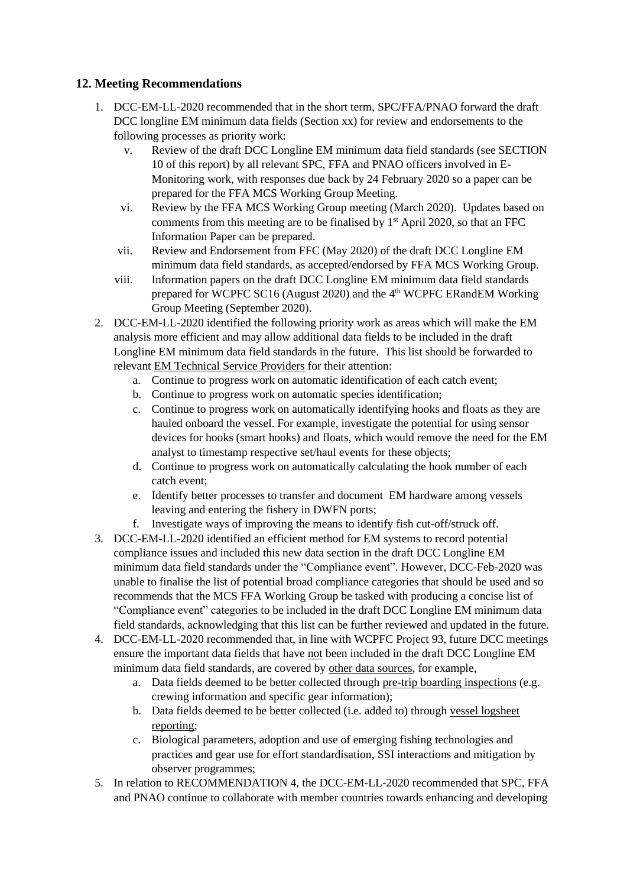## <span id="page-20-0"></span>**12. Meeting Recommendations**

- 1. DCC-EM-LL-2020 recommended that in the short term, SPC/FFA/PNAO forward the draft DCC longline EM minimum data fields (Section xx) for review and endorsements to the following processes as priority work:
	- v. Review of the draft DCC Longline EM minimum data field standards (see SECTION 10 of this report) by all relevant SPC, FFA and PNAO officers involved in E-Monitoring work, with responses due back by 24 February 2020 so a paper can be prepared for the FFA MCS Working Group Meeting.
	- vi. Review by the FFA MCS Working Group meeting (March 2020). Updates based on comments from this meeting are to be finalised by 1<sup>st</sup> April 2020, so that an FFC Information Paper can be prepared.
	- vii. Review and Endorsement from FFC (May 2020) of the draft DCC Longline EM minimum data field standards, as accepted/endorsed by FFA MCS Working Group.
	- viii. Information papers on the draft DCC Longline EM minimum data field standards prepared for WCPFC SC16 (August 2020) and the 4<sup>th</sup> WCPFC ERandEM Working Group Meeting (September 2020).
- 2. DCC-EM-LL-2020 identified the following priority work as areas which will make the EM analysis more efficient and may allow additional data fields to be included in the draft Longline EM minimum data field standards in the future. This list should be forwarded to relevant EM Technical Service Providers for their attention:
	- a. Continue to progress work on automatic identification of each catch event;
	- b. Continue to progress work on automatic species identification;
	- c. Continue to progress work on automatically identifying hooks and floats as they are hauled onboard the vessel. For example, investigate the potential for using sensor devices for hooks (smart hooks) and floats, which would remove the need for the EM analyst to timestamp respective set/haul events for these objects;
	- d. Continue to progress work on automatically calculating the hook number of each catch event;
	- e. Identify better processes to transfer and document EM hardware among vessels leaving and entering the fishery in DWFN ports;
	- f. Investigate ways of improving the means to identify fish cut-off/struck off.
- 3. DCC-EM-LL-2020 identified an efficient method for EM systems to record potential compliance issues and included this new data section in the draft DCC Longline EM minimum data field standards under the "Compliance event". However, DCC-Feb-2020 was unable to finalise the list of potential broad compliance categories that should be used and so recommends that the MCS FFA Working Group be tasked with producing a concise list of "Compliance event" categories to be included in the draft DCC Longline EM minimum data field standards, acknowledging that this list can be further reviewed and updated in the future.
- 4. DCC-EM-LL-2020 recommended that, in line with WCPFC Project 93, future DCC meetings ensure the important data fields that have not been included in the draft DCC Longline EM minimum data field standards, are covered by other data sources, for example,
	- a. Data fields deemed to be better collected through pre-trip boarding inspections (e.g. crewing information and specific gear information);
	- b. Data fields deemed to be better collected (i.e. added to) through vessel logsheet reporting;
	- c. Biological parameters, adoption and use of emerging fishing technologies and practices and gear use for effort standardisation, SSI interactions and mitigation by observer programmes;
- 5. In relation to RECOMMENDATION 4, the DCC-EM-LL-2020 recommended that SPC, FFA and PNAO continue to collaborate with member countries towards enhancing and developing